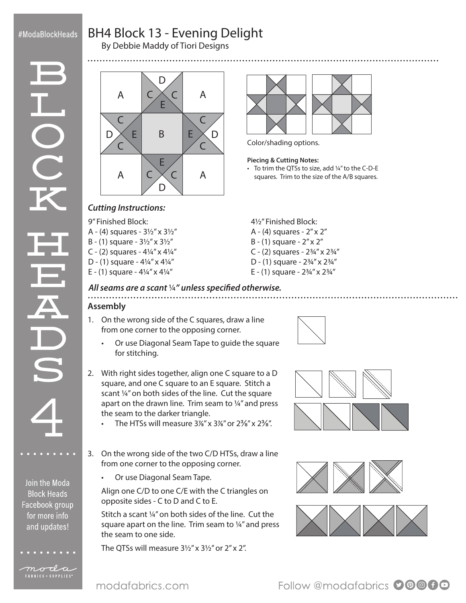## #ModaBlockHeads

# BH4 Block 13 - Evening Delight

By Debbie Maddy of Tiori Designs



Join the Moda **Block Heads** Facebook group for more info and updates!

moda FABRICS + SUPPLIES®

E E A  $|C \diagup C|$  A A  $|C \times C|$  A B  $\subset$  $\overline{C}$  $\overline{C}$  $\mathcal{C}$  $\subset$  $\subset$ D D  $\mathsf{D}$ D  $E$  B E E



Color/shading options.

#### **Piecing & Cutting Notes:**

• To trim the QTSs to size, add ¼" to the C-D-E squares. Trim to the size of the A/B squares.

## *Cutting Instructions:*

9" Finished Block:

- A (4) squares 3½" x 3½"
- B (1) square 3½" x 3½"
- C (2) squares  $4\frac{1}{4}$ " x  $4\frac{1}{4}$ "
- D (1) square  $4\frac{1}{4}$ " x  $4\frac{1}{4}$ "
- E (1) square  $4\frac{1}{4}$ " x  $4\frac{1}{4}$ "
- 4½" Finished Block: A - (4) squares - 2" x 2"
- B (1) square 2" x 2"
- C (2) squares 2¾" x 2¾"
- D (1) square 2¾" x 2¾"
- E (1) square  $2\frac{3}{4}$ " x  $2\frac{3}{4}$ "

#### *All seams are a scant* ¼*" unless specified otherwise.*

## **Assembly**

- 1. On the wrong side of the C squares, draw a line from one corner to the opposing corner.
	- Or use Diagonal Seam Tape to guide the square for stitching.
- 2. With right sides together, align one C square to a D square, and one C square to an E square. Stitch a scant ¼" on both sides of the line. Cut the square apart on the drawn line. Trim seam to ¼" and press the seam to the darker triangle.
	- The HTSs will measure  $3\frac{1}{8}$ " x  $3\frac{1}{8}$ " or  $2\frac{3}{8}$ " x  $2\frac{3}{8}$ ".
- 3. On the wrong side of the two C/D HTSs, draw a line from one corner to the opposing corner.
	- Or use Diagonal Seam Tape.

Align one C/D to one C/E with the C triangles on opposite sides - C to D and C to E.

Stitch a scant ¼" on both sides of the line. Cut the square apart on the line. Trim seam to ¼" and press the seam to one side.

The QTSs will measure 3½" x 3½" or 2" x 2".









modafabrics.com